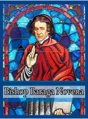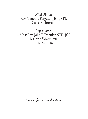#### *Nihil Obstat:* Rev. Timothy Ferguson, JCL, STL Censor Librorum

*Imprimatur:* Most Rev. John F. Doerfler, STD, JCL Bishop of Marquette June 22, 2016

*Novena for private devotion.*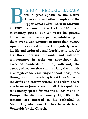# ISHOP FREDERIC BARAGA

was a great apostle to the Native Americans and other peoples of the Upper Great Lakes. Born in Slovenia

in 1797, he came to the USA in 1830 as a missionary priest. For 37 years he poured himself out in love for people, ministering to them over a vast territory of more than 80,000 square miles of wilderness. He regularly risked his life and endured brutal hardships to care for his flock: braving blizzards and sub-zero temperatures in treks on snowshoes that exceeded hundreds of miles, with only the canopy of heaven above him; risking river rapids in a fragile canoe, enduring clouds of mosquitoes through swamps, surviving Great Lake Superior ice drifts and stormy waters. His ardent desire was to make Jesus known to all. His reputation for sanctity spread far and wide, locally and in Europe. He died on January 19, 1868. His remains are interred in his cathedral in Marquette, Michigan. He has been declared Venerable by the Church.  $\sum_{\substack{\text{in }1797,\text{missionar}}}$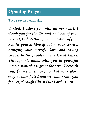#### To be recited each day.

*O God, I adore you with all my heart. I thank you for the life and holiness of your servant, Bishop Baraga. In imitation of your Son he poured himself out in your service, bringing your merciful love and saving Gospel to the peoples of the Great Lakes. Through his union with you in powerful intercession, please grant the favor I beseech you, (name intention) so that your glory may be manifested and we shall praise you forever, through Christ Our Lord. Amen.*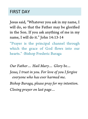#### FIRST DAY

Jesus said, "Whatever you ask in my name, I will do, so that the Father may be glorified in the Son. If you ask anything of me in my name, I will do it." John 14:13-14

"Prayer is the principal channel through which the grace of God flows into our hearts." -Bishop Frederic Baraga

*Our Father… Hail Mary… Glory be… Jesus, I trust in you. For love of you I forgive everyone who has ever harmed me. Bishop Baraga, please pray for my intention. Closing prayer on last page…*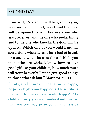## SECOND DAY

Jesus said, "Ask and it will be given to you; seek and you will find; knock and the door will be opened to you. For everyone who asks, receives; and the one who seeks, finds; and to the one who knocks, the door will be opened. Which one of you would hand his son a stone when he asks for a loaf of bread, or a snake when he asks for a fish? If you then, who are wicked, know how to give good gifts to your children, how much more will your heavenly Father give good things to those who ask him." Matthew 7:7-11

"Truly, God desires much that we be happy, he prizes highly our happiness. He sacrifices his Son to make our souls happy! My children, may you well understand this, so that you too may prize your happiness as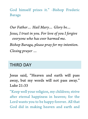God himself prizes it." -Bishop Frederic Baraga

*Our Father… Hail Mary… Glory be…*

*Jesus, I trust in you. For love of you I forgive everyone who has ever harmed me.* 

*Bishop Baraga, please pray for my intention. Closing prayer …*

#### THIRD DAY

Jesus said, "Heaven and earth will pass away, but my words will not pass away." Luke 21:33

"Keep well your religion, my children; strive after eternal happiness in heaven; for the Lord wants you to be happy forever. All that God did in making heaven and earth and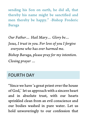sending his Son on earth, he did all, that thereby his name might be sanctified and men thereby be happy." -Bishop Frederic Baraga

*Our Father… Hail Mary… Glory be… Jesus, I trust in you. For love of you I forgive everyone who has ever harmed me. Bishop Baraga, please pray for my intention. Closing prayer …*

#### FOURTH DAY

"Since we have 'a great priest over the house of God,' let us approach with a sincere heart and in absolute trust, with our hearts sprinkled clean from an evil conscience and our bodies washed in pure water. Let us hold unwaveringly to our confession that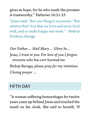gives us hope, for he who made the promise is trustworthy." Hebrews 10:21-23

"Jesus said: 'But one thing is necessary.' But what is that? It is that we love and serve God well, and so make happy our souls." -Bishop Frederic Baraga

*Our Father… Hail Mary… Glory be… Jesus, I trust in you. For love of you I forgive everyone who has ever harmed me. Bishop Baraga, please pray for my intention. Closing prayer …*

#### FIFTH DAY

"A woman suffering hemorrhages for twelve years came up behind Jesus and touched the tassel on his cloak. She said to herself, 'If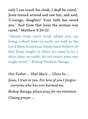only I can touch his cloak, I shall be cured.' Jesus turned around and saw her, and said, 'Courage, daughter! Your faith has saved you.' And from that hour the woman was cured." Matthew 9:20-22

"Always truly serve God, whilst you are living a short time on earth; act well as the Lord likes; from your whole heart believe all that Jesus taught us when he came to be a short time on earth; do not reject even one single word." -Bishop Frederic Baraga

*Our Father… Hail Mary… Glory be…*

*Jesus, I trust in you. For love of you I forgive everyone who has ever harmed me.* 

*Bishop Baraga, please pray for my intention. Closing prayer …*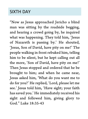#### SIXTH DAY

"Now as Jesus approached Jericho a blind man was sitting by the roadside begging, and hearing a crowd going by, he inquired what was happening. They told him, 'Jesus of Nazareth is passing by.' He shouted, 'Jesus, Son of David, have pity on me!' The people walking in front rebuked him, telling him to be silent, but he kept calling out all the more, 'Son of David, have pity on me!' Then Jesus stopped and ordered that he be brought to him; and when he came near, Jesus asked him, 'What do you want me to do for you?' He replied, 'Lord, please let me see.' Jesus told him, 'Have sight; your faith has saved you.' He immediately received his sight and followed him, giving glory to God." Luke 18:35-43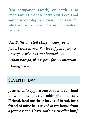"No occupation (work) on earth is so important as that we serve Our Lord God and so go one day to heaven. That is just for what we are on earth." -Bishop Frederic Baraga

*Our Father… Hail Mary… Glory be… Jesus, I trust in you. For love of you I forgive everyone who has ever harmed me. Bishop Baraga, please pray for my intention. Closing prayer …*

#### SEVENTH DAY

Jesus said, "Suppose one of you has a friend to whom he goes at midnight and says, 'Friend, lend me three loaves of bread, for a friend of mine has arrived at my house from a journey and I have nothing to offer him,'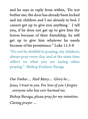and he says in reply from within, 'Do not bother me; the door has already been locked and my children and I are already in bed. I cannot get up to give you anything.' I tell you, if he does not get up to give him the loaves because of their friendship, he will get up to give him whatever he needs because of his persistence." Luke 11:5-8

"Do not be slothful in praying, my children; always pray every day, and at the same time reflect on what you are saying when praying." -Bishop Frederic Baraga

*Our Father… Hail Mary… Glory be…*

*Jesus, I trust in you. For love of you I forgive everyone who has ever harmed me.* 

*Bishop Baraga, please pray for my intention. Closing prayer …*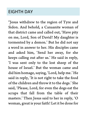#### EIGHTH DAY

"Jesus withdrew to the region of Tyre and Sidon. And behold, a Canaanite woman of that district came and called out, 'Have pity on me, Lord, Son of David! My daughter is tormented by a demon.' But he did not say a word in answer to her. His disciples came and asked him, 'Send her away, for she keeps calling out after us.' He said in reply, 'I was sent only to the lost sheep of the house of Israel.' But the woman came and did him homage, saying, 'Lord, help me.' He said in reply, 'It is not right to take the food of the children and throw it to the dogs.' She said, 'Please, Lord, for even the dogs eat the scraps that fall from the table of their masters.' Then Jesus said to her in reply, 'O woman, great is your faith! Let it be done for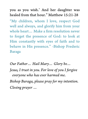you as you wish.' And her daughter was healed from that hour." Matthew 15:21-28 "My children, whom I love, respect God well and always, and glorify him from your whole heart… Make a firm resolution never to forget the presence of God: to look at Him constantly with eyes of faith and to behave in His presence." -Bishop Frederic Baraga

*Our Father… Hail Mary… Glory be…*

*Jesus, I trust in you. For love of you I forgive everyone who has ever harmed me.* 

*Bishop Baraga, please pray for my intention. Closing prayer …*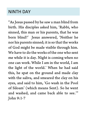#### NINTH DAY

"As Jesus passed by he saw a man blind from birth. His disciples asked him, 'Rabbi, who sinned, this man or his parents, that he was born blind?' Jesus answered, 'Neither he nor his parents sinned; it is so that the works of God might be made visible through him. We have to do the works of the one who sent me while it is day. Night is coming when no one can work. While I am in the world, I am the light of the world.' When he had said this, he spat on the ground and made clay with the saliva, and smeared the clay on his eyes, and said to him, 'Go wash in the Pool of Siloam' (which means Sent). So he went and washed, and came back able to see.'" John 9:1-7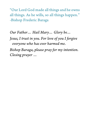"Our Lord God made all things and he owns all things. As he wills, so all things happen." -Bishop Frederic Baraga

*Our Father… Hail Mary… Glory be…*

*Jesus, I trust in you. For love of you I forgive everyone who has ever harmed me. Bishop Baraga, please pray for my intention.* 

*Closing prayer …*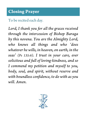### To be recited each day.

*Lord, I thank you for all the graces received through the intercession of Bishop Baraga by this novena. You are the Almighty Lord, who knows all things and who 'does whatever he wills, in heaven, on earth, in the seas' (Ps 135:6). I trust in your care, ever solicitous and full of loving-kindness, and so I commend my petition and myself to you, body, soul, and spirit, without reserve and with boundless confidence, to do with as you will. Amen.*